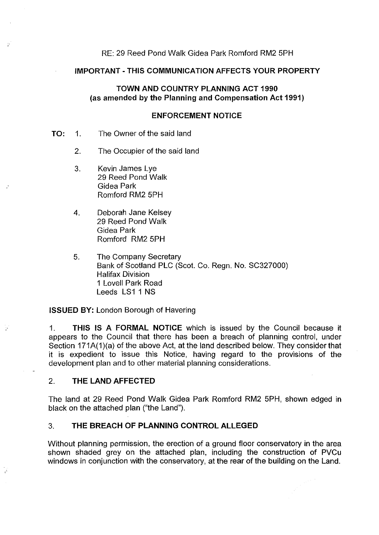# RE: 29 Reed Pond Walk Gidea Park Romford RM2 5PH

#### **IMPORTANT-THIS COMMUNICATION AFFECTS YOUR PROPERTY**

# **TOWN AND COUNTRY PLANNING ACT 1990** (as **amended by the Planning and Compensation Act 1991)**

### **ENFORCEMENT NOTICE**

- **TO:** 1. The Owner of the said land
	- 2. The Occupier of the said land
	- 3. Kevin James Lye 29 Reed Pond Walk Gidea Park Romford RM2 5PH
	- 4. Deborah Jane Kelsey 29 Reed Pond Walk Gidea Park Romford RM2 5PH
	- 5. The Company Secretary Bank of Scotland PLC (Scot. Co. Regn. No. SC327000) Halifax Division 1 Lovell Park Road Leeds LS1 1 NS

**ISSUED BY: London Borough of Havering** 

1. **THIS IS A FORMAL NOTICE** which is issued by the Council because it appears to the Council that there has been a breach of planning control, under Section 171A(1)(a) of the above Act, at the land described below. They consider that it is expedient to issue this Notice, having regard to the provisions of the development plan and to other material planning considerations.

# 2. **THE LAND AFFECTED**

 $\mathcal{D}$ 

The land at 29 Reed Pond Walk Gidea Park Romford RM2 5PH, shown edged in black on the attached plan ("the Land").

# 3. **THE BREACH OF PLANNING CONTROL ALLEGED**

Without planning permission, the erection of a ground floor conservatory in the area shown shaded grey on the attached plan, including the construction of PVCu windows in conjunction with the conservatory, at the rear of the building on the Land.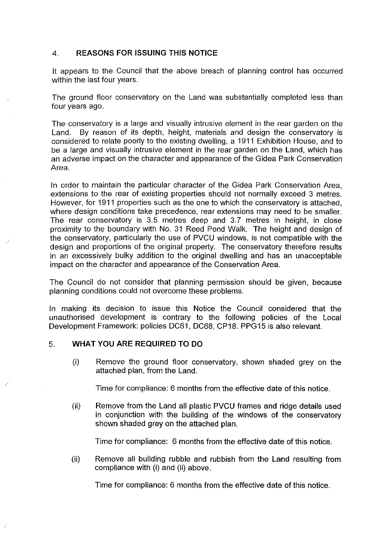# 4. **REASONS FOR ISSUING THIS NOTICE**

It appears to the Council that the above breach of planning control has occurred within the last four years.

The ground floor conservatory on the Land was substantially completed less than four years ago.

The conservatory is a large and visually intrusive element in the rear garden on the Land. By reason of its depth, height, materials and design the conservatory is considered to relate poorly to the existing dwelling, a 1911 Exhibition House, and to be a large and visually intrusive element in the rear garden on the Land, which has an adverse impact on the character and appearance of the Gidea Park Conservation Area.

In order to maintain the particular character of the Gidea Park Conservation Area, extensions to the rear of existing properties should not normally exceed 3 metres. However, for 1911 properties such as the one to which the conservatory is attached, where design conditions take precedence, rear extensions may need to be smaller. The rear conservatory is 3.5 metres deep and 3.7 metres in height, in close proximity to the boundary with No. 31 Reed Pond Walk. The height and design of the conservatory, particularly the use of PVCU windows, is not compatible with the design and proportions of the original property. The conservatory therefore results in an excessively bulky addition to the original dwelling and has an unacceptable impact on the character and appearance of the Conservation Area.

The Council do not consider that planning permission should be given, because planning conditions could not overcome these problems.

In making its decision to issue this Notice the Council considered that the unauthorised development is contrary to the following policies of the Local Development Framework: policies DC61, DC68, CP18. PPG15 is also relevant.

# 5. **WHAT YOU ARE REQUIRED TO DO**

(i) Remove the ground floor conservatory, shown shaded grey on the attached plan, from the Land.

Time for compliance: 6 months from the effective date of this notice.

(ii) Remove from the Land all plastic PVCU frames and ridge details used in conjunction with the building of the windows of the conservatory shown shaded grey on the attached plan.

Time for compliance: 6 months from the effective date of this notice.

(ii) Remove all building rubble and rubbish from the Land resulting from compliance with (i) and (ii) above.

Time for compliance: 6 months from the effective date of this notice.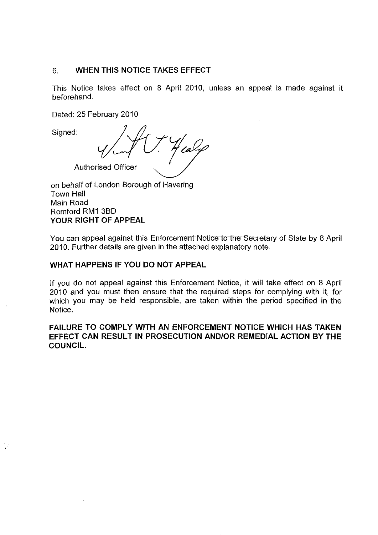# 6. **WHEN THIS NOTICE TAKES EFFECT**

This Notice takes effect on 8 April 2010, unless an appeal is made against it beforehand.

Dated: 25 February 2010

Signed:

raly **Authorised Officer** 

on behalf of London Borough of Havering Town Hall Main Road Romford RM1 3BD **YOUR RIGHT OF APPEAL** 

You can appeal against this Enforcement Notice to the Secretary of State by 8 April 2010. Further details are given in the attached explanatory note.

### **WHAT HAPPENS IF YOU DO NOT APPEAL**

If you do not appeal against this Enforcement Notice, it will take effect on 8 April 2010 and you must then ensure that the required steps for complying with it, for which you may be held responsible, are taken within the period specified in the Notice.

**FAILURE TO COMPLY WITH AN ENFORCEMENT NOTICE WHICH HAS TAKEN EFFECT CAN RESULT IN PROSECUTION AND/OR REMEDIAL ACTION BY THE COUNCIL.**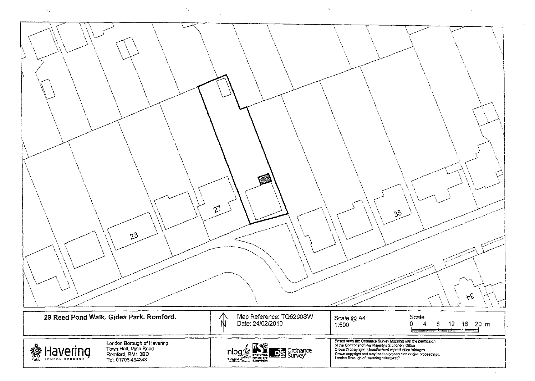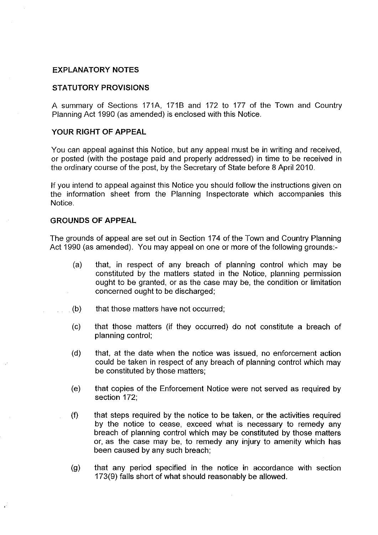#### **EXPLANATORY NOTES**

#### **STATUTORY PROVISIONS**

A summary of Sections 171A, 1718 and 172 to 177 of the Town and Country Planning Act 1990 (as amended) is enclosed with this Notice.

# **YOUR RIGHT OF APPEAL**

You can appeal against this Notice, but any appeal must be in writing and received, or posted (with the postage paid and properly addressed) in time to be received in the ordinary course of the post, by the Secretary of State before 8 April 2010.

If you intend to appeal against this Notice you should follow the instructions given on the information sheet from the Planning Inspectorate which accompanies this Notice.

## **GROUNDS OF APPEAL**

The grounds of appeal are set out in Section 174 of the Town and Country Planning Act 1990 (as amended). You may appeal on one or more of the following grounds:-

- (a) that, in respect of any breach of planning control which may be constituted by the matters stated in the Notice, planning permission ought to be granted, or as the case may be, the condition or limitation concerned ought to be discharged;
- $(b)$  that those matters have not occurred;
	- (c) that those matters (if they occurred) do not constitute a breach of planning control;
	- (d) that, at the date when the notice was issued, no enforcement action could be taken in respect of any breach of planning control which may be constituted by those matters;
	- (e) that copies of the Enforcement Notice were not served as required by section 172;
	- $(f)$  that steps required by the notice to be taken, or the activities required by the notice to cease, exceed what is necessary to remedy any breach of planning control which may be constituted by those matters or, as the case may be, to remedy any injury to amenity which has been caused by any such breach;
	- (g) that any period specified in the notice in accordance with section 173(9) falls short of what should reasonably be allowed.